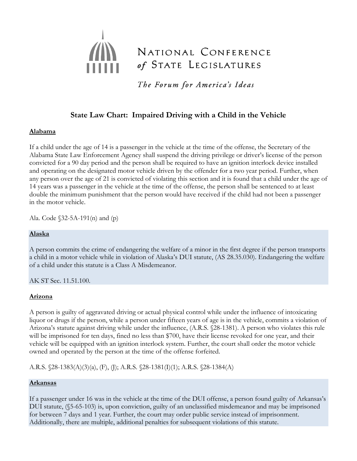# NATIONAL CONFERENCE of STATE LEGISLATURES

The Forum for America's Ideas

## **State Law Chart: Impaired Driving with a Child in the Vehicle**

## **Alabama**

If a child under the age of 14 is a passenger in the vehicle at the time of the offense, the Secretary of the Alabama State Law Enforcement Agency shall suspend the driving privilege or driver's license of the person convicted for a 90 day period and the person shall be required to have an ignition interlock device installed and operating on the designated motor vehicle driven by the offender for a two year period. Further, when any person over the age of 21 is convicted of violating this section and it is found that a child under the age of 14 years was a passenger in the vehicle at the time of the offense, the person shall be sentenced to at least double the minimum punishment that the person would have received if the child had not been a passenger in the motor vehicle.

Ala. Code §32-5A-191(n) and (p)

## **Alaska**

A person commits the crime of endangering the welfare of a minor in the first degree if the person transports a child in a motor vehicle while in violation of Alaska's DUI statute, (AS 28.35.030). Endangering the welfare of a child under this statute is a Class A Misdemeanor.

AK ST Sec. 11.51.100.

## **Arizona**

A person is guilty of aggravated driving or actual physical control while under the influence of intoxicating liquor or drugs if the person, while a person under fifteen years of age is in the vehicle, commits a violation of Arizona's statute against driving while under the influence, (A.R.S. §28-1381). A person who violates this rule will be imprisoned for ten days, fined no less than \$700, have their license revoked for one year, and their vehicle will be equipped with an ignition interlock system. Further, the court shall order the motor vehicle owned and operated by the person at the time of the offense forfeited.

A.R.S. §28-1383(A)(3)(a), (F), (J); A.R.S. §28-1381(I)(1); A.R.S. §28-1384(A)

## **Arkansas**

If a passenger under 16 was in the vehicle at the time of the DUI offense, a person found guilty of Arkansas's DUI statute, (§5-65-103) is, upon conviction, guilty of an unclassified misdemeanor and may be imprisoned for between 7 days and 1 year. Further, the court may order public service instead of imprisonment. Additionally, there are multiple, additional penalties for subsequent violations of this statute.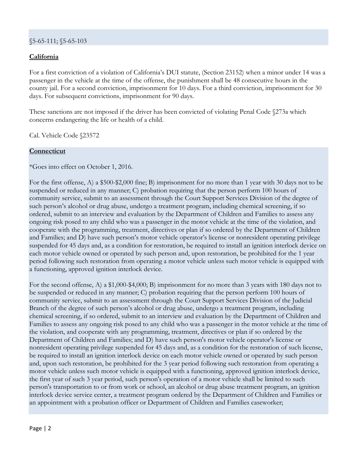## §5-65-111; §5-65-103

## **California**

For a first conviction of a violation of California's DUI statute, (Section 23152) when a minor under 14 was a passenger in the vehicle at the time of the offense, the punishment shall be 48 consecutive hours in the county jail. For a second conviction, imprisonment for 10 days. For a third conviction, imprisonment for 30 days. For subsequent convictions, imprisonment for 90 days.

These sanctions are not imposed if the driver has been convicted of violating Penal Code §273a which concerns endangering the life or health of a child.

Cal. Vehicle Code §23572

#### **Connecticut**

\*Goes into effect on October 1, 2016.

For the first offense, A) a \$500-\$2,000 fine; B) imprisonment for no more than 1 year with 30 days not to be suspended or reduced in any manner; C) probation requiring that the person perform 100 hours of community service, submit to an assessment through the Court Support Services Division of the degree of such person's alcohol or drug abuse, undergo a treatment program, including chemical screening, if so ordered, submit to an interview and evaluation by the Department of Children and Families to assess any ongoing risk posed to any child who was a passenger in the motor vehicle at the time of the violation, and cooperate with the programming, treatment, directives or plan if so ordered by the Department of Children and Families; and D) have such person's motor vehicle operator's license or nonresident operating privilege suspended for 45 days and, as a condition for restoration, be required to install an ignition interlock device on each motor vehicle owned or operated by such person and, upon restoration, be prohibited for the 1 year period following such restoration from operating a motor vehicle unless such motor vehicle is equipped with a functioning, approved ignition interlock device.

For the second offense, A) a \$1,000-\$4,000; B) imprisonment for no more than 3 years with 180 days not to be suspended or reduced in any manner; C) probation requiring that the person perform 100 hours of community service, submit to an assessment through the Court Support Services Division of the Judicial Branch of the degree of such person's alcohol or drug abuse, undergo a treatment program, including chemical screening, if so ordered, submit to an interview and evaluation by the Department of Children and Families to assess any ongoing risk posed to any child who was a passenger in the motor vehicle at the time of the violation, and cooperate with any programming, treatment, directives or plan if so ordered by the Department of Children and Families; and D) have such person's motor vehicle operator's license or nonresident operating privilege suspended for 45 days and, as a condition for the restoration of such license, be required to install an ignition interlock device on each motor vehicle owned or operated by such person and, upon such restoration, be prohibited for the 3 year period following such restoration from operating a motor vehicle unless such motor vehicle is equipped with a functioning, approved ignition interlock device, the first year of such 3 year period, such person's operation of a motor vehicle shall be limited to such person's transportation to or from work or school, an alcohol or drug abuse treatment program, an ignition interlock device service center, a treatment program ordered by the Department of Children and Families or an appointment with a probation officer or Department of Children and Families caseworker;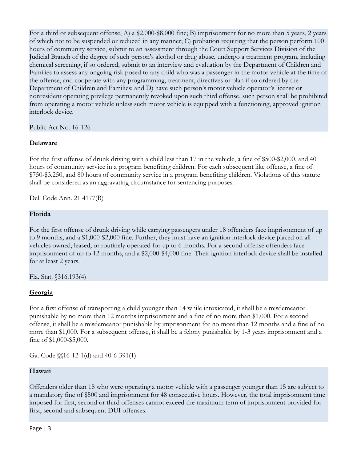For a third or subsequent offense, A) a \$2,000-\$8,000 fine; B) imprisonment for no more than 5 years, 2 years of which not to be suspended or reduced in any manner; C) probation requiring that the person perform 100 hours of community service, submit to an assessment through the Court Support Services Division of the Judicial Branch of the degree of such person's alcohol or drug abuse, undergo a treatment program, including chemical screening, if so ordered, submit to an interview and evaluation by the Department of Children and Families to assess any ongoing risk posed to any child who was a passenger in the motor vehicle at the time of the offense, and cooperate with any programming, treatment, directives or plan if so ordered by the Department of Children and Families; and D) have such person's motor vehicle operator's license or nonresident operating privilege permanently revoked upon such third offense, such person shall be prohibited from operating a motor vehicle unless such motor vehicle is equipped with a functioning, approved ignition interlock device.

Public Act No. 16-126

## **Delaware**

For the first offense of drunk driving with a child less than 17 in the vehicle, a fine of \$500-\$2,000, and 40 hours of community service in a program benefiting children. For each subsequent like offense, a fine of \$750-\$3,250, and 80 hours of community service in a program benefiting children. Violations of this statute shall be considered as an aggravating circumstance for sentencing purposes.

Del. Code Ann. 21 4177(B)

## **Florida**

For the first offense of drunk driving while carrying passengers under 18 offenders face imprisonment of up to 9 months, and a \$1,000-\$2,000 fine. Further, they must have an ignition interlock device placed on all vehicles owned, leased, or routinely operated for up to 6 months. For a second offense offenders face imprisonment of up to 12 months, and a \$2,000-\$4,000 fine. Their ignition interlock device shall be installed for at least 2 years.

Fla. Stat. §316.193(4)

## **Georgia**

For a first offense of transporting a child younger than 14 while intoxicated, it shall be a misdemeanor punishable by no more than 12 months imprisonment and a fine of no more than \$1,000. For a second offense, it shall be a misdemeanor punishable by imprisonment for no more than 12 months and a fine of no more than \$1,000. For a subsequent offense, it shall be a felony punishable by 1-3 years imprisonment and a fine of \$1,000-\$5,000.

Ga. Code §§16-12-1(d) and 40-6-391(1)

## **Hawaii**

Offenders older than 18 who were operating a motor vehicle with a passenger younger than 15 are subject to a mandatory fine of \$500 and imprisonment for 48 consecutive hours. However, the total imprisonment time imposed for first, second or third offenses cannot exceed the maximum term of imprisonment provided for first, second and subsequent DUI offenses.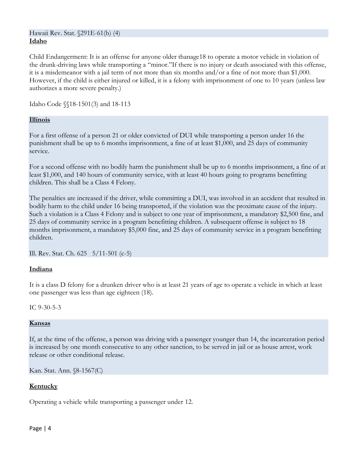#### Hawaii Rev. Stat. §291E-61(b) (4) **Idaho**

Child Endangerment: It is an offense for anyone older thanage18 to operate a motor vehicle in violation of the drunk-driving laws while transporting a "minor."If there is no injury or death associated with this offense, it is a misdemeanor with a jail term of not more than six months and/or a fine of not more than \$1,000. However, if the child is either injured or killed, it is a felony with imprisonment of one to 10 years (unless law authorizes a more severe penalty.)

Idaho Code §§18-1501(3) and 18-113

#### **Illinois**

For a first offense of a person 21 or older convicted of DUI while transporting a person under 16 the punishment shall be up to 6 months imprisonment, a fine of at least \$1,000, and 25 days of community service.

For a second offense with no bodily harm the punishment shall be up to 6 months imprisonment, a fine of at least \$1,000, and 140 hours of community service, with at least 40 hours going to programs benefitting children. This shall be a Class 4 Felony.

The penalties are increased if the driver, while committing a DUI, was involved in an accident that resulted in bodily harm to the child under 16 being transported, if the violation was the proximate cause of the injury. Such a violation is a Class 4 Felony and is subject to one year of imprisonment, a mandatory \$2,500 fine, and 25 days of community service in a program benefitting children. A subsequent offense is subject to 18 months imprisonment, a mandatory \$5,000 fine, and 25 days of community service in a program benefitting children.

Ill. Rev. Stat. Ch. 625 5/11-501 (c-5)

#### **Indiana**

It is a class D felony for a drunken driver who is at least 21 years of age to operate a vehicle in which at least one passenger was less than age eighteen (18).

IC 9-30-5-3

#### **Kansas**

If, at the time of the offense, a person was driving with a passenger younger than 14, the incarceration period is increased by one month consecutive to any other sanction, to be served in jail or as house arrest, work release or other conditional release.

Kan. Stat. Ann. §8-1567(C)

#### **Kentucky**

Operating a vehicle while transporting a passenger under 12.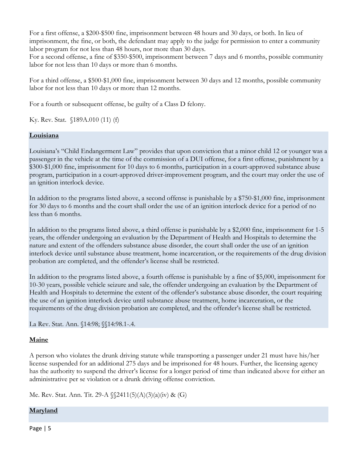For a first offense, a \$200-\$500 fine, imprisonment between 48 hours and 30 days, or both. In lieu of imprisonment, the fine, or both, the defendant may apply to the judge for permission to enter a community labor program for not less than 48 hours, nor more than 30 days.

For a second offense, a fine of \$350-\$500, imprisonment between 7 days and 6 months, possible community labor for not less than 10 days or more than 6 months.

For a third offense, a \$500-\$1,000 fine, imprisonment between 30 days and 12 months, possible community labor for not less than 10 days or more than 12 months.

For a fourth or subsequent offense, be guilty of a Class D felony.

Ky. Rev. Stat. §189A.010 (11) (f)

#### **Louisiana**

Louisiana's "Child Endangerment Law" provides that upon conviction that a minor child 12 or younger was a passenger in the vehicle at the time of the commission of a DUI offense, for a first offense, punishment by a \$300-\$1,000 fine, imprisonment for 10 days to 6 months, participation in a court-approved substance abuse program, participation in a court-approved driver-improvement program, and the court may order the use of an ignition interlock device.

In addition to the programs listed above, a second offense is punishable by a \$750-\$1,000 fine, imprisonment for 30 days to 6 months and the court shall order the use of an ignition interlock device for a period of no less than 6 months.

In addition to the programs listed above, a third offense is punishable by a \$2,000 fine, imprisonment for 1-5 years, the offender undergoing an evaluation by the Department of Health and Hospitals to determine the nature and extent of the offenders substance abuse disorder, the court shall order the use of an ignition interlock device until substance abuse treatment, home incarceration, or the requirements of the drug division probation are completed, and the offender's license shall be restricted.

In addition to the programs listed above, a fourth offense is punishable by a fine of \$5,000, imprisonment for 10-30 years, possible vehicle seizure and sale, the offender undergoing an evaluation by the Department of Health and Hospitals to determine the extent of the offender's substance abuse disorder, the court requiring the use of an ignition interlock device until substance abuse treatment, home incarceration, or the requirements of the drug division probation are completed, and the offender's license shall be restricted.

La Rev. Stat. Ann. §14:98; §§14:98.1-.4.

#### **Maine**

A person who violates the drunk driving statute while transporting a passenger under 21 must have his/her license suspended for an additional 275 days and be imprisoned for 48 hours. Further, the licensing agency has the authority to suspend the driver's license for a longer period of time than indicated above for either an administrative per se violation or a drunk driving offense conviction.

Me. Rev. Stat. Ann. Tit. 29-A §§2411(5)(A)(3)(a)(iv) & (G)

#### **Maryland**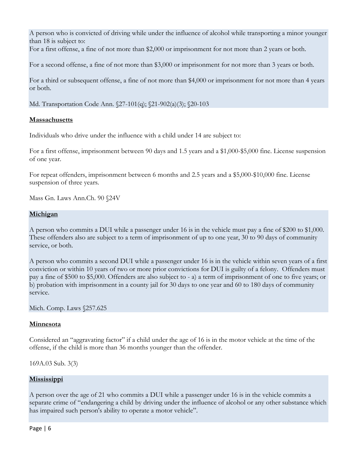A person who is convicted of driving while under the influence of alcohol while transporting a minor younger than 18 is subject to:

For a first offense, a fine of not more than \$2,000 or imprisonment for not more than 2 years or both.

For a second offense, a fine of not more than \$3,000 or imprisonment for not more than 3 years or both.

For a third or subsequent offense, a fine of not more than \$4,000 or imprisonment for not more than 4 years or both.

Md. Transportation Code Ann. §27-101(q); §21-902(a)(3); §20-103

## **Massachusetts**

Individuals who drive under the influence with a child under 14 are subject to:

For a first offense, imprisonment between 90 days and 1.5 years and a \$1,000-\$5,000 fine. License suspension of one year.

For repeat offenders, imprisonment between 6 months and 2.5 years and a \$5,000-\$10,000 fine. License suspension of three years.

Mass Gn. Laws Ann.Ch. 90 §24V

## **Michigan**

A person who commits a DUI while a passenger under 16 is in the vehicle must pay a fine of \$200 to \$1,000. These offenders also are subject to a term of imprisonment of up to one year, 30 to 90 days of community service, or both.

A person who commits a second DUI while a passenger under 16 is in the vehicle within seven years of a first conviction or within 10 years of two or more prior convictions for DUI is guilty of a felony. Offenders must pay a fine of \$500 to \$5,000. Offenders are also subject to - a) a term of imprisonment of one to five years; or b) probation with imprisonment in a county jail for 30 days to one year and 60 to 180 days of community service.

Mich. Comp. Laws §257.625

## **Minnesota**

Considered an "aggravating factor" if a child under the age of 16 is in the motor vehicle at the time of the offense, if the child is more than 36 months younger than the offender.

169A.03 Sub. 3(3)

#### **Mississippi**

A person over the age of 21 who commits a DUI while a passenger under 16 is in the vehicle commits a separate crime of "endangering a child by driving under the influence of alcohol or any other substance which has impaired such person's ability to operate a motor vehicle".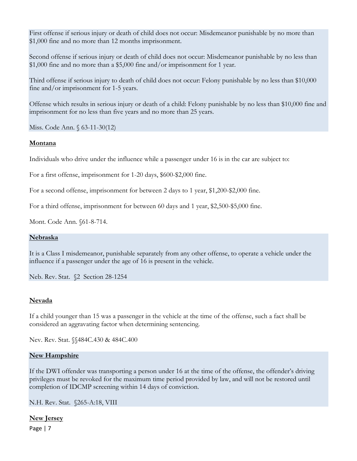First offense if serious injury or death of child does not occur: Misdemeanor punishable by no more than \$1,000 fine and no more than 12 months imprisonment.

Second offense if serious injury or death of child does not occur: Misdemeanor punishable by no less than \$1,000 fine and no more than a \$5,000 fine and/or imprisonment for 1 year.

Third offense if serious injury to death of child does not occur: Felony punishable by no less than \$10,000 fine and/or imprisonment for 1-5 years.

Offense which results in serious injury or death of a child: Felony punishable by no less than \$10,000 fine and imprisonment for no less than five years and no more than 25 years.

Miss. Code Ann. § 63-11-30(12)

#### **Montana**

Individuals who drive under the influence while a passenger under 16 is in the car are subject to:

For a first offense, imprisonment for 1-20 days, \$600-\$2,000 fine.

For a second offense, imprisonment for between 2 days to 1 year, \$1,200-\$2,000 fine.

For a third offense, imprisonment for between 60 days and 1 year, \$2,500-\$5,000 fine.

Mont. Code Ann. §61-8-714.

#### **Nebraska**

It is a Class I misdemeanor, punishable separately from any other offense, to operate a vehicle under the influence if a passenger under the age of 16 is present in the vehicle.

Neb. Rev. Stat. §2 Section 28-1254

#### **Nevada**

If a child younger than 15 was a passenger in the vehicle at the time of the offense, such a fact shall be considered an aggravating factor when determining sentencing.

Nev. Rev. Stat. §§484C.430 & 484C.400

## **New Hampshire**

If the DWI offender was transporting a person under 16 at the time of the offense, the offender's driving privileges must be revoked for the maximum time period provided by law, and will not be restored until completion of IDCMP screening within 14 days of conviction.

N.H. Rev. Stat. §265-A:18, VIII

#### **New Jersey**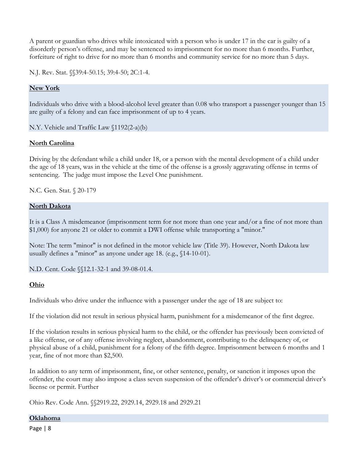A parent or guardian who drives while intoxicated with a person who is under 17 in the car is guilty of a disorderly person's offense, and may be sentenced to imprisonment for no more than 6 months. Further, forfeiture of right to drive for no more than 6 months and community service for no more than 5 days.

N.J. Rev. Stat. *§§*39:4-50.15; 39:4-50; 2C:1-4.

## **New York**

Individuals who drive with a blood-alcohol level greater than 0.08 who transport a passenger younger than 15 are guilty of a felony and can face imprisonment of up to 4 years.

N.Y. Vehicle and Traffic Law §1192(2-a)(b)

## **North Carolina**

Driving by the defendant while a child under 18, or a person with the mental development of a child under the age of 18 years, was in the vehicle at the time of the offense is a grossly aggravating offense in terms of sentencing. The judge must impose the Level One punishment.

N.C. Gen. Stat. § 20-179

#### **North Dakota**

It is a Class A misdemeanor (imprisonment term for not more than one year and/or a fine of not more than \$1,000) for anyone 21 or older to commit a DWI offense while transporting a "minor."

Note: The term "minor" is not defined in the motor vehicle law (Title 39). However, North Dakota law usually defines a "minor" as anyone under age 18. (e.g., §14-10-01).

N.D. Cent. Code §§12.1-32-1 and 39-08-01.4.

#### **Ohio**

Individuals who drive under the influence with a passenger under the age of 18 are subject to:

If the violation did not result in serious physical harm, punishment for a misdemeanor of the first degree.

If the violation results in serious physical harm to the child, or the offender has previously been convicted of a like offense, or of any offense involving neglect, abandonment, contributing to the delinquency of, or physical abuse of a child, punishment for a felony of the fifth degree. Imprisonment between 6 months and 1 year, fine of not more than \$2,500.

In addition to any term of imprisonment, fine, or other sentence, penalty, or sanction it imposes upon the offender, the court may also impose a class seven suspension of the offender's driver's or commercial driver's license or permit. Further

Ohio Rev. Code Ann. §§2919.22, 2929.14, 2929.18 and 2929.21

#### **Oklahoma**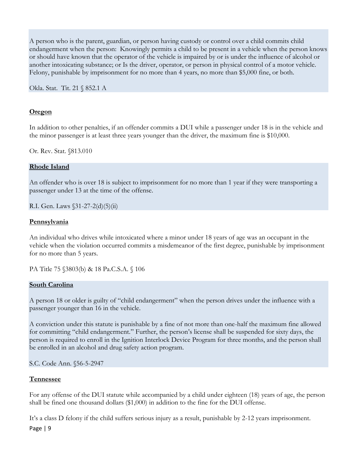A person who is the parent, guardian, or person having custody or control over a child commits child endangerment when the person: Knowingly permits a child to be present in a vehicle when the person knows or should have known that the operator of the vehicle is impaired by or is under the influence of alcohol or another intoxicating substance; or Is the driver, operator, or person in physical control of a motor vehicle. Felony, punishable by imprisonment for no more than 4 years, no more than \$5,000 fine, or both.

Okla. Stat. Tit. 21 § 852.1 A

#### **Oregon**

In addition to other penalties, if an offender commits a DUI while a passenger under 18 is in the vehicle and the minor passenger is at least three years younger than the driver, the maximum fine is \$10,000.

Or. Rev. Stat. §813.010

#### **Rhode Island**

An offender who is over 18 is subject to imprisonment for no more than 1 year if they were transporting a passenger under 13 at the time of the offense.

R.I. Gen. Laws §31-27-2(d)(5)(ii)

#### **Pennsylvania**

An individual who drives while intoxicated where a minor under 18 years of age was an occupant in the vehicle when the violation occurred commits a misdemeanor of the first degree, punishable by imprisonment for no more than 5 years.

PA Title 75 §3803(b) & 18 Pa.C.S.A. § 106

#### **South Carolina**

A person 18 or older is guilty of "child endangerment" when the person drives under the influence with a passenger younger than 16 in the vehicle.

A conviction under this statute is punishable by a fine of not more than one-half the maximum fine allowed for committing "child endangerment." Further, the person's license shall be suspended for sixty days, the person is required to enroll in the Ignition Interlock Device Program for three months, and the person shall be enrolled in an alcohol and drug safety action program.

S.C. Code Ann. §56-5-2947

#### **Tennessee**

For any offense of the DUI statute while accompanied by a child under eighteen (18) years of age, the person shall be fined one thousand dollars (\$1,000) in addition to the fine for the DUI offense.

It's a class D felony if the child suffers serious injury as a result, punishable by 2-12 years imprisonment.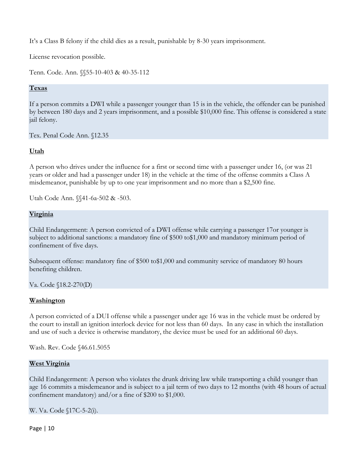It's a Class B felony if the child dies as a result, punishable by 8-30 years imprisonment.

License revocation possible.

Tenn. Code. Ann. §§55-10-403 & 40-35-112

## **Texas**

If a person commits a DWI while a passenger younger than 15 is in the vehicle, the offender can be punished by between 180 days and 2 years imprisonment, and a possible \$10,000 fine. This offense is considered a state jail felony.

Tex. Penal Code Ann. §12.35

## **Utah**

A person who drives under the influence for a first or second time with a passenger under 16, (or was 21 years or older and had a passenger under 18) in the vehicle at the time of the offense commits a Class A misdemeanor, punishable by up to one year imprisonment and no more than a \$2,500 fine.

Utah Code Ann. §§41-6a-502 & -503.

## **Virginia**

Child Endangerment: A person convicted of a DWI offense while carrying a passenger 17or younger is subject to additional sanctions: a mandatory fine of \$500 to\$1,000 and mandatory minimum period of confinement of five days.

Subsequent offense: mandatory fine of \$500 to\$1,000 and community service of mandatory 80 hours benefiting children.

Va. Code §18.2-270(D)

#### **Washington**

A person convicted of a DUI offense while a passenger under age 16 was in the vehicle must be ordered by the court to install an ignition interlock device for not less than 60 days. In any case in which the installation and use of such a device is otherwise mandatory, the device must be used for an additional 60 days.

Wash. Rev. Code §46.61.5055

#### **West Virginia**

Child Endangerment: A person who violates the drunk driving law while transporting a child younger than age 16 commits a misdemeanor and is subject to a jail term of two days to 12 months (with 48 hours of actual confinement mandatory) and/or a fine of \$200 to \$1,000.

W. Va. Code §17C-5-2(i).